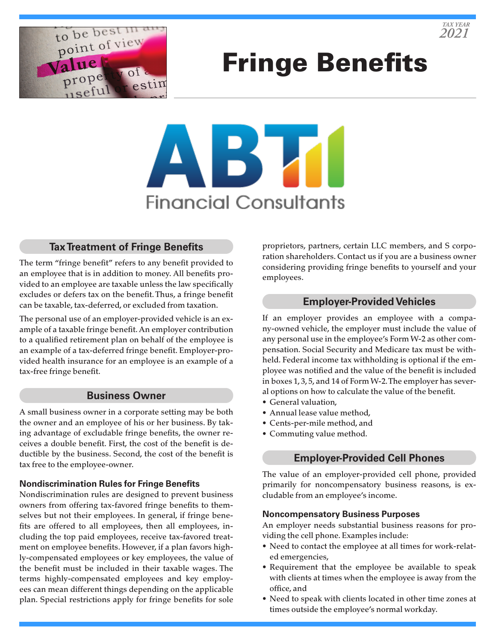

# Fringe Benefits



# **Tax Treatment of Fringe Benefits**

The term "fringe benefit" refers to any benefit provided to an employee that is in addition to money. All benefits provided to an employee are taxable unless the law specifically excludes or defers tax on the benefit. Thus, a fringe benefit can be taxable, tax-deferred, or excluded from taxation.

The personal use of an employer-provided vehicle is an example of a taxable fringe benefit. An employer contribution to a qualified retirement plan on behalf of the employee is an example of a tax-deferred fringe benefit. Employer-provided health insurance for an employee is an example of a tax-free fringe benefit.

#### **Business Owner**

A small business owner in a corporate setting may be both the owner and an employee of his or her business. By taking advantage of excludable fringe benefits, the owner receives a double benefit. First, the cost of the benefit is deductible by the business. Second, the cost of the benefit is tax free to the employee-owner.

#### **Nondiscrimination Rules for Fringe Benefits**

Nondiscrimination rules are designed to prevent business owners from offering tax-favored fringe benefits to themselves but not their employees. In general, if fringe benefits are offered to all employees, then all employees, including the top paid employees, receive tax-favored treatment on employee benefits. However, if a plan favors highly-compensated employees or key employees, the value of the benefit must be included in their taxable wages. The terms highly-compensated employees and key employees can mean different things depending on the applicable plan. Special restrictions apply for fringe benefits for sole proprietors, partners, certain LLC members, and S corporation shareholders. Contact us if you are a business owner considering providing fringe benefits to yourself and your employees.

### **Employer-Provided Vehicles**

If an employer provides an employee with a company-owned vehicle, the employer must include the value of any personal use in the employee's Form W-2 as other compensation. Social Security and Medicare tax must be withheld. Federal income tax withholding is optional if the employee was notified and the value of the benefit is included in boxes 1, 3, 5, and 14 of Form W-2. The employer has several options on how to calculate the value of the benefit.

- General valuation,
- Annual lease value method,
- Cents-per-mile method, and
- Commuting value method.

# **Employer-Provided Cell Phones**

The value of an employer-provided cell phone, provided primarily for noncompensatory business reasons, is excludable from an employee's income.

#### **Noncompensatory Business Purposes**

An employer needs substantial business reasons for providing the cell phone. Examples include:

- Need to contact the employee at all times for work-related emergencies,
- Requirement that the employee be available to speak with clients at times when the employee is away from the office, and
- Need to speak with clients located in other time zones at times outside the employee's normal workday.